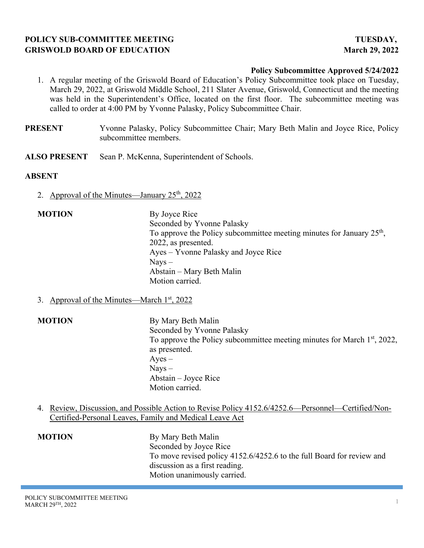# **POLICY SUB-COMMITTEE MEETING TUESDAY, GRISWOLD BOARD OF EDUCATION March 29, 2022**

## **Policy Subcommittee Approved 5/24/2022**

- 1. A regular meeting of the Griswold Board of Education's Policy Subcommittee took place on Tuesday, March 29, 2022, at Griswold Middle School, 211 Slater Avenue, Griswold, Connecticut and the meeting was held in the Superintendent's Office, located on the first floor. The subcommittee meeting was called to order at 4:00 PM by Yvonne Palasky, Policy Subcommittee Chair.
- **PRESENT** Yvonne Palasky, Policy Subcommittee Chair; Mary Beth Malin and Joyce Rice, Policy subcommittee members.
- **ALSO PRESENT** Sean P. McKenna, Superintendent of Schools.

### **ABSENT**

- 2. Approval of the Minutes—January  $25<sup>th</sup>$ , 2022
- **MOTION** By Joyce Rice Seconded by Yvonne Palasky To approve the Policy subcommittee meeting minutes for January  $25<sup>th</sup>$ , 2022, as presented. Ayes – Yvonne Palasky and Joyce Rice Nays – Abstain – Mary Beth Malin Motion carried.
- 3. Approval of the Minutes—March  $1<sup>st</sup>$ , 2022

**MOTION** By Mary Beth Malin Seconded by Yvonne Palasky To approve the Policy subcommittee meeting minutes for March  $1<sup>st</sup>$ , 2022, as presented.  $Ayes -$  Nays – Abstain – Joyce Rice Motion carried.

4. Review, Discussion, and Possible Action to Revise Policy 4152.6/4252.6—Personnel—Certified/Non-Certified-Personal Leaves, Family and Medical Leave Act

| <b>MOTION</b> | By Mary Beth Malin                                                    |
|---------------|-----------------------------------------------------------------------|
|               | Seconded by Joyce Rice                                                |
|               | To move revised policy 4152.6/4252.6 to the full Board for review and |
|               | discussion as a first reading.                                        |
|               | Motion unanimously carried.                                           |